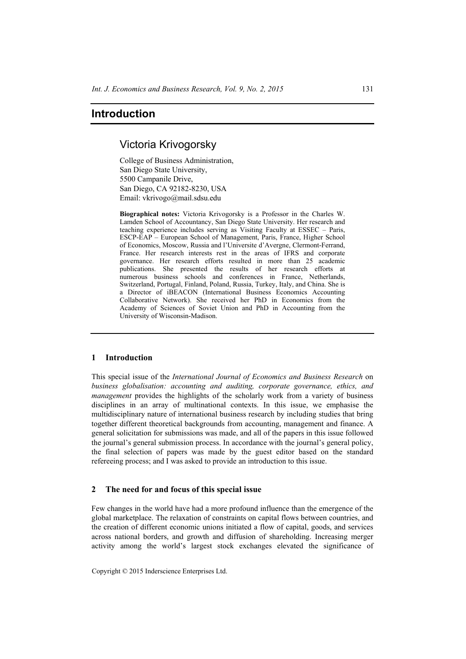# **Introduction**

## Victoria Krivogorsky

College of Business Administration, San Diego State University, 5500 Campanile Drive, San Diego, CA 92182-8230, USA Email: vkrivogo@mail.sdsu.edu

**Biographical notes:** Victoria Krivogorsky is a Professor in the Charles W. Lamden School of Accountancy, San Diego State University. Her research and teaching experience includes serving as Visiting Faculty at ESSEC – Paris, ESCP-EAP – European School of Management, Paris, France, Higher School of Economics, Moscow, Russia and l'Universite d'Avergne, Clermont-Ferrand, France. Her research interests rest in the areas of IFRS and corporate governance. Her research efforts resulted in more than 25 academic publications. She presented the results of her research efforts at numerous business schools and conferences in France, Netherlands, Switzerland, Portugal, Finland, Poland, Russia, Turkey, Italy, and China. She is a Director of iBEACON (International Business Economics Accounting Collaborative Network). She received her PhD in Economics from the Academy of Sciences of Soviet Union and PhD in Accounting from the University of Wisconsin-Madison.

## **1 Introduction**

This special issue of the *International Journal of Economics and Business Research* on *business globalisation: accounting and auditing, corporate governance, ethics, and management* provides the highlights of the scholarly work from a variety of business disciplines in an array of multinational contexts. In this issue, we emphasise the multidisciplinary nature of international business research by including studies that bring together different theoretical backgrounds from accounting, management and finance. A general solicitation for submissions was made, and all of the papers in this issue followed the journal's general submission process. In accordance with the journal's general policy, the final selection of papers was made by the guest editor based on the standard refereeing process; and I was asked to provide an introduction to this issue.

## **2 The need for and focus of this special issue**

Few changes in the world have had a more profound influence than the emergence of the global marketplace. The relaxation of constraints on capital flows between countries, and the creation of different economic unions initiated a flow of capital, goods, and services across national borders, and growth and diffusion of shareholding. Increasing merger activity among the world's largest stock exchanges elevated the significance of

Copyright © 2015 Inderscience Enterprises Ltd.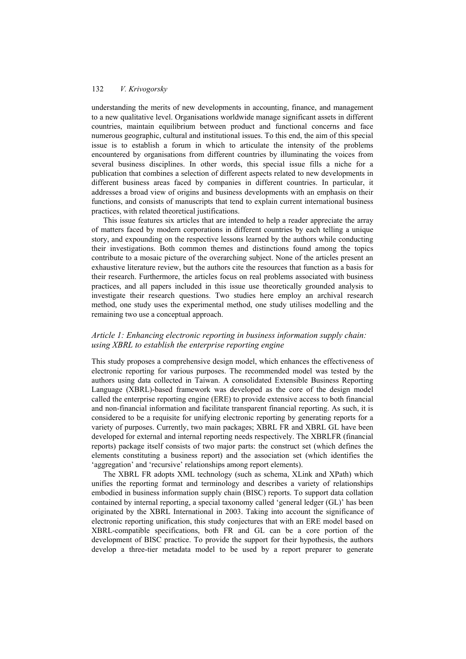## 132 *V. Krivogorsky*

understanding the merits of new developments in accounting, finance, and management to a new qualitative level. Organisations worldwide manage significant assets in different countries, maintain equilibrium between product and functional concerns and face numerous geographic, cultural and institutional issues. To this end, the aim of this special issue is to establish a forum in which to articulate the intensity of the problems encountered by organisations from different countries by illuminating the voices from several business disciplines. In other words, this special issue fills a niche for a publication that combines a selection of different aspects related to new developments in different business areas faced by companies in different countries. In particular, it addresses a broad view of origins and business developments with an emphasis on their functions, and consists of manuscripts that tend to explain current international business practices, with related theoretical justifications.

This issue features six articles that are intended to help a reader appreciate the array of matters faced by modern corporations in different countries by each telling a unique story, and expounding on the respective lessons learned by the authors while conducting their investigations. Both common themes and distinctions found among the topics contribute to a mosaic picture of the overarching subject. None of the articles present an exhaustive literature review, but the authors cite the resources that function as a basis for their research. Furthermore, the articles focus on real problems associated with business practices, and all papers included in this issue use theoretically grounded analysis to investigate their research questions. Two studies here employ an archival research method, one study uses the experimental method, one study utilises modelling and the remaining two use a conceptual approach.

## *Article 1: Enhancing electronic reporting in business information supply chain: using XBRL to establish the enterprise reporting engine*

This study proposes a comprehensive design model, which enhances the effectiveness of electronic reporting for various purposes. The recommended model was tested by the authors using data collected in Taiwan. A consolidated Extensible Business Reporting Language (XBRL)-based framework was developed as the core of the design model called the enterprise reporting engine (ERE) to provide extensive access to both financial and non-financial information and facilitate transparent financial reporting. As such, it is considered to be a requisite for unifying electronic reporting by generating reports for a variety of purposes. Currently, two main packages; XBRL FR and XBRL GL have been developed for external and internal reporting needs respectively. The XBRLFR (financial reports) package itself consists of two major parts: the construct set (which defines the elements constituting a business report) and the association set (which identifies the 'aggregation' and 'recursive' relationships among report elements).

The XBRL FR adopts XML technology (such as schema, XLink and XPath) which unifies the reporting format and terminology and describes a variety of relationships embodied in business information supply chain (BISC) reports. To support data collation contained by internal reporting, a special taxonomy called 'general ledger (GL)' has been originated by the XBRL International in 2003. Taking into account the significance of electronic reporting unification, this study conjectures that with an ERE model based on XBRL-compatible specifications, both FR and GL can be a core portion of the development of BISC practice. To provide the support for their hypothesis, the authors develop a three-tier metadata model to be used by a report preparer to generate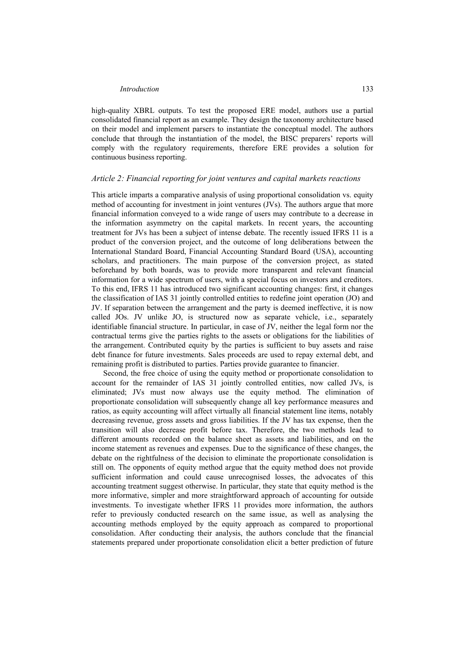## *Introduction* 133

high-quality XBRL outputs. To test the proposed ERE model, authors use a partial consolidated financial report as an example. They design the taxonomy architecture based on their model and implement parsers to instantiate the conceptual model. The authors conclude that through the instantiation of the model, the BISC preparers' reports will comply with the regulatory requirements, therefore ERE provides a solution for continuous business reporting.

#### *Article 2: Financial reporting for joint ventures and capital markets reactions*

This article imparts a comparative analysis of using proportional consolidation vs. equity method of accounting for investment in joint ventures (JVs). The authors argue that more financial information conveyed to a wide range of users may contribute to a decrease in the information asymmetry on the capital markets. In recent years, the accounting treatment for JVs has been a subject of intense debate. The recently issued IFRS 11 is a product of the conversion project, and the outcome of long deliberations between the International Standard Board, Financial Accounting Standard Board (USA), accounting scholars, and practitioners. The main purpose of the conversion project, as stated beforehand by both boards, was to provide more transparent and relevant financial information for a wide spectrum of users, with a special focus on investors and creditors. To this end, IFRS 11 has introduced two significant accounting changes: first, it changes the classification of IAS 31 jointly controlled entities to redefine joint operation (JO) and JV. If separation between the arrangement and the party is deemed ineffective, it is now called JOs. JV unlike JO, is structured now as separate vehicle, i.e., separately identifiable financial structure. In particular, in case of JV, neither the legal form nor the contractual terms give the parties rights to the assets or obligations for the liabilities of the arrangement. Contributed equity by the parties is sufficient to buy assets and raise debt finance for future investments. Sales proceeds are used to repay external debt, and remaining profit is distributed to parties. Parties provide guarantee to financier.

Second, the free choice of using the equity method or proportionate consolidation to account for the remainder of IAS 31 jointly controlled entities, now called JVs, is eliminated; JVs must now always use the equity method. The elimination of proportionate consolidation will subsequently change all key performance measures and ratios, as equity accounting will affect virtually all financial statement line items, notably decreasing revenue, gross assets and gross liabilities. If the JV has tax expense, then the transition will also decrease profit before tax. Therefore, the two methods lead to different amounts recorded on the balance sheet as assets and liabilities, and on the income statement as revenues and expenses. Due to the significance of these changes, the debate on the rightfulness of the decision to eliminate the proportionate consolidation is still on. The opponents of equity method argue that the equity method does not provide sufficient information and could cause unrecognised losses, the advocates of this accounting treatment suggest otherwise. In particular, they state that equity method is the more informative, simpler and more straightforward approach of accounting for outside investments. To investigate whether IFRS 11 provides more information, the authors refer to previously conducted research on the same issue, as well as analysing the accounting methods employed by the equity approach as compared to proportional consolidation. After conducting their analysis, the authors conclude that the financial statements prepared under proportionate consolidation elicit a better prediction of future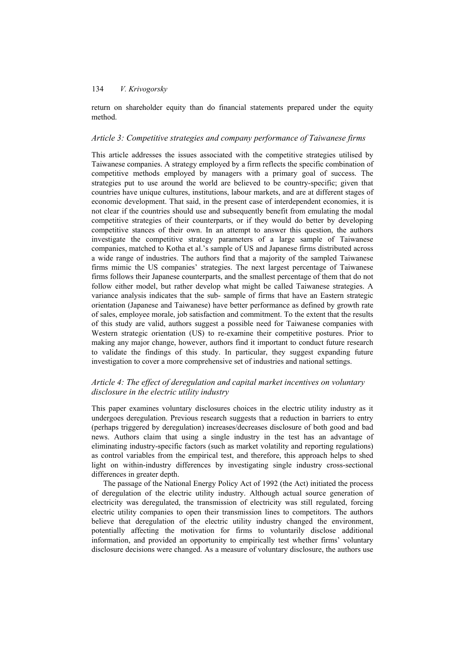## 134 *V. Krivogorsky*

return on shareholder equity than do financial statements prepared under the equity method.

### *Article 3: Competitive strategies and company performance of Taiwanese firms*

This article addresses the issues associated with the competitive strategies utilised by Taiwanese companies. A strategy employed by a firm reflects the specific combination of competitive methods employed by managers with a primary goal of success. The strategies put to use around the world are believed to be country-specific; given that countries have unique cultures, institutions, labour markets, and are at different stages of economic development. That said, in the present case of interdependent economies, it is not clear if the countries should use and subsequently benefit from emulating the modal competitive strategies of their counterparts, or if they would do better by developing competitive stances of their own. In an attempt to answer this question, the authors investigate the competitive strategy parameters of a large sample of Taiwanese companies, matched to Kotha et al.'s sample of US and Japanese firms distributed across a wide range of industries. The authors find that a majority of the sampled Taiwanese firms mimic the US companies' strategies. The next largest percentage of Taiwanese firms follows their Japanese counterparts, and the smallest percentage of them that do not follow either model, but rather develop what might be called Taiwanese strategies. A variance analysis indicates that the sub- sample of firms that have an Eastern strategic orientation (Japanese and Taiwanese) have better performance as defined by growth rate of sales, employee morale, job satisfaction and commitment. To the extent that the results of this study are valid, authors suggest a possible need for Taiwanese companies with Western strategic orientation (US) to re-examine their competitive postures. Prior to making any major change, however, authors find it important to conduct future research to validate the findings of this study. In particular, they suggest expanding future investigation to cover a more comprehensive set of industries and national settings.

## *Article 4: The effect of deregulation and capital market incentives on voluntary disclosure in the electric utility industry*

This paper examines voluntary disclosures choices in the electric utility industry as it undergoes deregulation. Previous research suggests that a reduction in barriers to entry (perhaps triggered by deregulation) increases/decreases disclosure of both good and bad news. Authors claim that using a single industry in the test has an advantage of eliminating industry-specific factors (such as market volatility and reporting regulations) as control variables from the empirical test, and therefore, this approach helps to shed light on within-industry differences by investigating single industry cross-sectional differences in greater depth.

The passage of the National Energy Policy Act of 1992 (the Act) initiated the process of deregulation of the electric utility industry. Although actual source generation of electricity was deregulated, the transmission of electricity was still regulated, forcing electric utility companies to open their transmission lines to competitors. The authors believe that deregulation of the electric utility industry changed the environment, potentially affecting the motivation for firms to voluntarily disclose additional information, and provided an opportunity to empirically test whether firms' voluntary disclosure decisions were changed. As a measure of voluntary disclosure, the authors use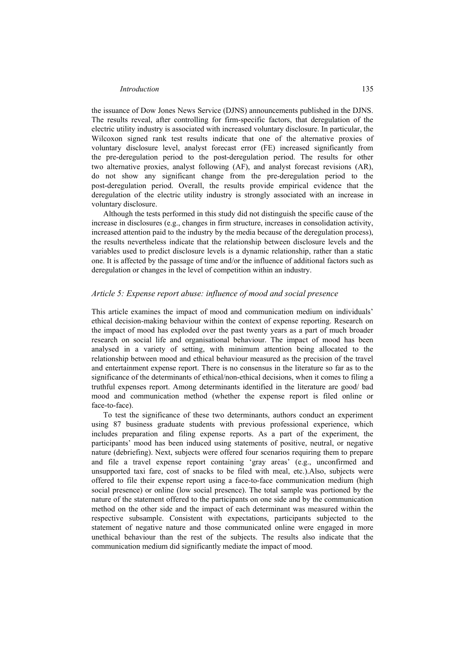## *Introduction* 135

the issuance of Dow Jones News Service (DJNS) announcements published in the DJNS. The results reveal, after controlling for firm-specific factors, that deregulation of the electric utility industry is associated with increased voluntary disclosure. In particular, the Wilcoxon signed rank test results indicate that one of the alternative proxies of voluntary disclosure level, analyst forecast error (FE) increased significantly from the pre-deregulation period to the post-deregulation period. The results for other two alternative proxies, analyst following (AF), and analyst forecast revisions (AR), do not show any significant change from the pre-deregulation period to the post-deregulation period. Overall, the results provide empirical evidence that the deregulation of the electric utility industry is strongly associated with an increase in voluntary disclosure.

Although the tests performed in this study did not distinguish the specific cause of the increase in disclosures (e.g., changes in firm structure, increases in consolidation activity, increased attention paid to the industry by the media because of the deregulation process), the results nevertheless indicate that the relationship between disclosure levels and the variables used to predict disclosure levels is a dynamic relationship, rather than a static one. It is affected by the passage of time and/or the influence of additional factors such as deregulation or changes in the level of competition within an industry.

#### *Article 5: Expense report abuse: influence of mood and social presence*

This article examines the impact of mood and communication medium on individuals' ethical decision-making behaviour within the context of expense reporting. Research on the impact of mood has exploded over the past twenty years as a part of much broader research on social life and organisational behaviour. The impact of mood has been analysed in a variety of setting, with minimum attention being allocated to the relationship between mood and ethical behaviour measured as the precision of the travel and entertainment expense report. There is no consensus in the literature so far as to the significance of the determinants of ethical/non-ethical decisions, when it comes to filing a truthful expenses report. Among determinants identified in the literature are good/ bad mood and communication method (whether the expense report is filed online or face-to-face).

To test the significance of these two determinants, authors conduct an experiment using 87 business graduate students with previous professional experience, which includes preparation and filing expense reports. As a part of the experiment, the participants' mood has been induced using statements of positive, neutral, or negative nature (debriefing). Next, subjects were offered four scenarios requiring them to prepare and file a travel expense report containing 'gray areas' (e.g., unconfirmed and unsupported taxi fare, cost of snacks to be filed with meal, etc.).Also, subjects were offered to file their expense report using a face-to-face communication medium (high social presence) or online (low social presence). The total sample was portioned by the nature of the statement offered to the participants on one side and by the communication method on the other side and the impact of each determinant was measured within the respective subsample. Consistent with expectations, participants subjected to the statement of negative nature and those communicated online were engaged in more unethical behaviour than the rest of the subjects. The results also indicate that the communication medium did significantly mediate the impact of mood.